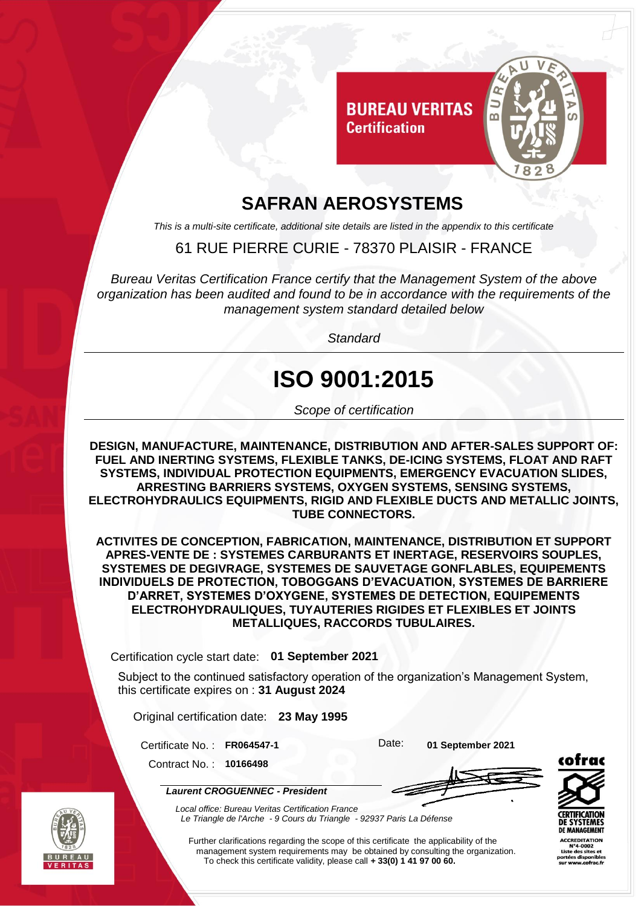

#### **SAFRAN AEROSYSTEMS**

*This is a multi-site certificate, additional site details are listed in the appendix to this certificate*

#### 61 RUE PIERRE CURIE - 78370 PLAISIR - FRANCE

*Bureau Veritas Certification France certify that the Management System of the above organization has been audited and found to be in accordance with the requirements of the management system standard detailed below*

*Standard*

# **ISO 9001:2015**

*Scope of certification*

**DESIGN, MANUFACTURE, MAINTENANCE, DISTRIBUTION AND AFTER-SALES SUPPORT OF: FUEL AND INERTING SYSTEMS, FLEXIBLE TANKS, DE-ICING SYSTEMS, FLOAT AND RAFT SYSTEMS, INDIVIDUAL PROTECTION EQUIPMENTS, EMERGENCY EVACUATION SLIDES, ARRESTING BARRIERS SYSTEMS, OXYGEN SYSTEMS, SENSING SYSTEMS, ELECTROHYDRAULICS EQUIPMENTS, RIGID AND FLEXIBLE DUCTS AND METALLIC JOINTS, TUBE CONNECTORS.**

**ACTIVITES DE CONCEPTION, FABRICATION, MAINTENANCE, DISTRIBUTION ET SUPPORT APRES-VENTE DE : SYSTEMES CARBURANTS ET INERTAGE, RESERVOIRS SOUPLES, SYSTEMES DE DEGIVRAGE, SYSTEMES DE SAUVETAGE GONFLABLES, EQUIPEMENTS INDIVIDUELS DE PROTECTION, TOBOGGANS D'EVACUATION, SYSTEMES DE BARRIERE D'ARRET, SYSTEMES D'OXYGENE, SYSTEMES DE DETECTION, EQUIPEMENTS ELECTROHYDRAULIQUES, TUYAUTERIES RIGIDES ET FLEXIBLES ET JOINTS METALLIQUES, RACCORDS TUBULAIRES.**

Certification cycle start date: **01 September 2021**

Subject to the continued satisfactory operation of the organization's Management System, this certificate expires on : **31 August 2024**

Original certification date: **23 May 1995**

Certificate No. : **FR064547-1** Date: **01 September 2021**

Contract No. : **10166498**

*Laurent CROGUENNEC - President*



*Local office: Bureau Veritas Certification France Le Triangle de l'Arche - 9 Cours du Triangle - 92937 Paris La Défense*



**ACCREDITATION** 

Further clarifications regarding the scope of this certificate the applicability of the management system requirements may be obtained by consulting the organization. To check this certificate validity, please call **+ 33(0) 1 41 97 00 60.**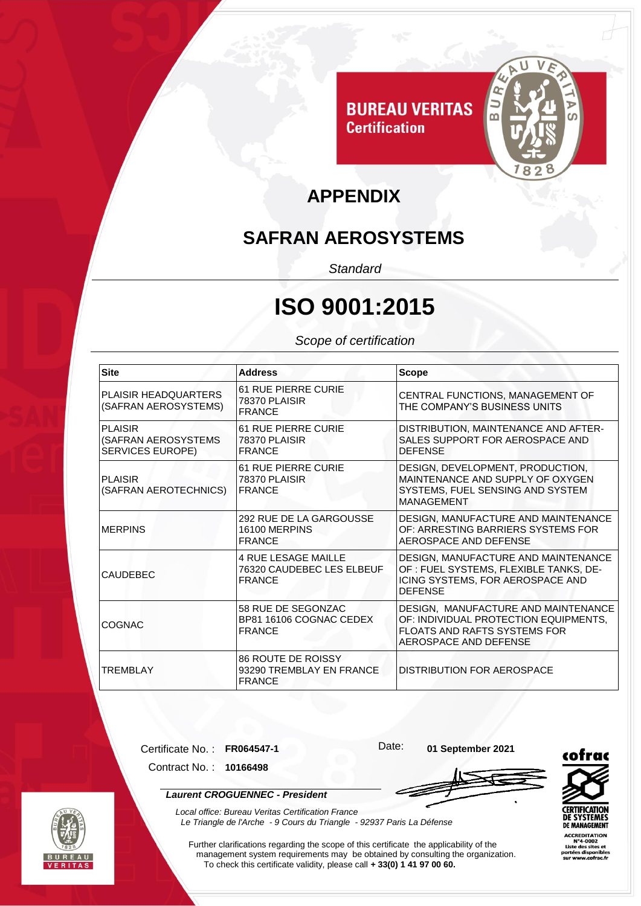

### **APPENDIX**

#### **SAFRAN AEROSYSTEMS**

*Standard*

# **ISO 9001:2015**

#### *Scope of certification*

| <b>Site</b>                                                      | <b>Address</b>                                                           | <b>Scope</b>                                                                                                                                 |
|------------------------------------------------------------------|--------------------------------------------------------------------------|----------------------------------------------------------------------------------------------------------------------------------------------|
| <b>PLAISIR HEADQUARTERS</b><br>(SAFRAN AEROSYSTEMS)              | <b>61 RUE PIERRE CURIE</b><br>78370 PLAISIR<br><b>FRANCE</b>             | CENTRAL FUNCTIONS, MANAGEMENT OF<br>THE COMPANY'S BUSINESS UNITS                                                                             |
| <b>PLAISIR</b><br>(SAFRAN AEROSYSTEMS<br><b>SERVICES EUROPE)</b> | 61 RUE PIERRE CURIE<br>78370 PLAISIR<br><b>FRANCE</b>                    | DISTRIBUTION, MAINTENANCE AND AFTER-<br><b>SALES SUPPORT FOR AEROSPACE AND</b><br><b>DEFENSE</b>                                             |
| <b>PLAISIR</b><br>(SAFRAN AEROTECHNICS)                          | <b>61 RUE PIERRE CURIE</b><br>78370 PLAISIR<br><b>IFRANCE</b>            | DESIGN, DEVELOPMENT, PRODUCTION,<br>MAINTENANCE AND SUPPLY OF OXYGEN<br>SYSTEMS, FUEL SENSING AND SYSTEM<br><b>MANAGEMENT</b>                |
| <b>IMERPINS</b>                                                  | 292 RUE DE LA GARGOUSSE<br>16100 MERPINS<br><b>FRANCE</b>                | DESIGN, MANUFACTURE AND MAINTENANCE<br>OF: ARRESTING BARRIERS SYSTEMS FOR<br>AEROSPACE AND DEFENSE                                           |
| <b>CAUDEBEC</b>                                                  | <b>4 RUE LESAGE MAILLE</b><br>76320 CAUDEBEC LES ELBEUF<br><b>FRANCE</b> | DESIGN, MANUFACTURE AND MAINTENANCE<br>OF : FUEL SYSTEMS, FLEXIBLE TANKS, DE-<br>ICING SYSTEMS, FOR AEROSPACE AND<br><b>DEFENSE</b>          |
| COGNAC                                                           | 58 RUE DE SEGONZAC<br>BP81 16106 COGNAC CEDEX<br><b>FRANCE</b>           | DESIGN, MANUFACTURE AND MAINTENANCE<br>OF: INDIVIDUAL PROTECTION EQUIPMENTS,<br><b>FLOATS AND RAFTS SYSTEMS FOR</b><br>AEROSPACE AND DEFENSE |
| <b>TREMBLAY</b>                                                  | 86 ROUTE DE ROISSY<br>93290 TREMBLAY EN FRANCE<br><b>FRANCE</b>          | <b>DISTRIBUTION FOR AEROSPACE</b>                                                                                                            |

Certificate No. : **FR064547-1** Date: **01 September 2021**

Contract No. : **10166498**

*Laurent CROGUENNEC - President*



*Local office: Bureau Veritas Certification France Le Triangle de l'Arche - 9 Cours du Triangle - 92937 Paris La Défense* 

Further clarifications regarding the scope of this certificate the applicability of the management system requirements may be obtained by consulting the organization. To check this certificate validity, please call **+ 33(0) 1 41 97 00 60.**



**ACCREDITATION**<br>N°4-0002 Liste des sites et<br>ortées disponible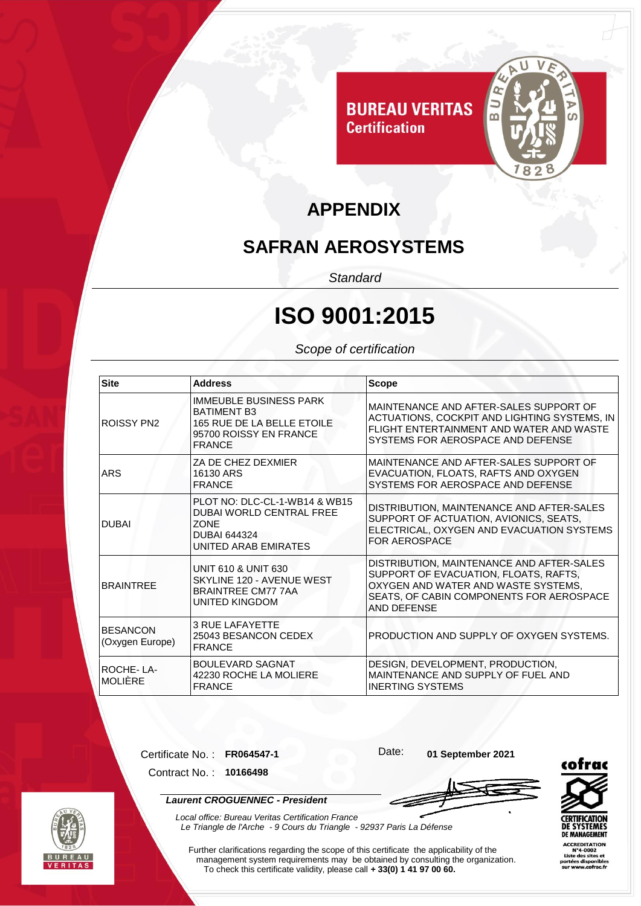

#### **APPENDIX**

#### **SAFRAN AEROSYSTEMS**

*Standard*

## **ISO 9001:2015**

*Scope of certification*

| <b>Site</b>                        | <b>Address</b>                                                                                                                 | <b>Scope</b>                                                                                                                                                                         |
|------------------------------------|--------------------------------------------------------------------------------------------------------------------------------|--------------------------------------------------------------------------------------------------------------------------------------------------------------------------------------|
| <b>ROISSY PN2</b>                  | <b>IMMEUBLE BUSINESS PARK</b><br><b>BATIMENT B3</b><br>165 RUE DE LA BELLE ETOILE<br>95700 ROISSY EN FRANCE<br><b>FRANCE</b>   | MAINTENANCE AND AFTER-SALES SUPPORT OF<br>ACTUATIONS, COCKPIT AND LIGHTING SYSTEMS, IN<br>FLIGHT ENTERTAINMENT AND WATER AND WASTE<br>SYSTEMS FOR AEROSPACE AND DEFENSE              |
| <b>ARS</b>                         | ZA DE CHEZ DEXMIER<br>16130 ARS<br><b>FRANCE</b>                                                                               | MAINTENANCE AND AFTER-SALES SUPPORT OF<br>EVACUATION, FLOATS, RAFTS AND OXYGEN<br>SYSTEMS FOR AEROSPACE AND DEFENSE                                                                  |
| <b>DUBAI</b>                       | PLOT NO: DLC-CL-1-WB14 & WB15<br><b>DUBAI WORLD CENTRAL FREE</b><br><b>ZONE</b><br><b>DUBAI 644324</b><br>UNITED ARAB EMIRATES | DISTRIBUTION, MAINTENANCE AND AFTER-SALES<br>SUPPORT OF ACTUATION, AVIONICS, SEATS,<br>ELECTRICAL, OXYGEN AND EVACUATION SYSTEMS<br><b>FOR AEROSPACE</b>                             |
| <b>BRAINTREE</b>                   | <b>UNIT 610 &amp; UNIT 630</b><br>SKYLINE 120 - AVENUE WEST<br><b>BRAINTREE CM77 7AA</b><br><b>UNITED KINGDOM</b>              | DISTRIBUTION, MAINTENANCE AND AFTER-SALES<br>SUPPORT OF EVACUATION, FLOATS, RAFTS,<br>OXYGEN AND WATER AND WASTE SYSTEMS,<br>SEATS, OF CABIN COMPONENTS FOR AEROSPACE<br>AND DEFENSE |
| <b>BESANCON</b><br>(Oxygen Europe) | <b>3 RUE LAFAYETTE</b><br>25043 BESANCON CEDEX<br><b>FRANCE</b>                                                                | PRODUCTION AND SUPPLY OF OXYGEN SYSTEMS.                                                                                                                                             |
| ROCHE-LA-<br><b>MOLIÈRE</b>        | <b>BOULEVARD SAGNAT</b><br>42230 ROCHE LA MOLIERE<br><b>FRANCE</b>                                                             | DESIGN, DEVELOPMENT, PRODUCTION,<br>MAINTENANCE AND SUPPLY OF FUEL AND<br><b>INERTING SYSTEMS</b>                                                                                    |

Certificate No. : **FR064547-1** Date: **01 September 2021**

Contract No. : **10166498**

*Laurent CROGUENNEC - President*



*Local office: Bureau Veritas Certification France Le Triangle de l'Arche - 9 Cours du Triangle - 92937 Paris La Défense*  **CERTIFI DE SYSTEMES DE MANAGEMENT ACCREDITATION** 

te des sites et

Further clarifications regarding the scope of this certificate the applicability of the management system requirements may be obtained by consulting the organization. To check this certificate validity, please call **+ 33(0) 1 41 97 00 60.**